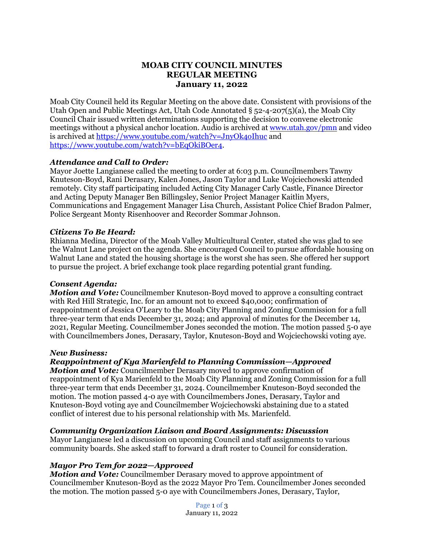# **MOAB CITY COUNCIL MINUTES REGULAR MEETING January 11, 2022**

Moab City Council held its Regular Meeting on the above date. Consistent with provisions of the Utah Open and Public Meetings Act, Utah Code Annotated § 52-4-207(5)(a), the Moab City Council Chair issued written determinations supporting the decision to convene electronic meetings without a physical anchor location. Audio is archived at [www.utah.gov/pmn](about:blank) and video is archived at<https://www.youtube.com/watch?v=JnyOk4oIhuc> and [https://www.youtube.com/watch?v=bEqOkiBOer4.](https://www.youtube.com/watch?v=bEqOkiBOer4)

### *Attendance and Call to Order:*

Mayor Joette Langianese called the meeting to order at 6:03 p.m. Councilmembers Tawny Knuteson-Boyd, Rani Derasary, Kalen Jones, Jason Taylor and Luke Wojciechowski attended remotely. City staff participating included Acting City Manager Carly Castle, Finance Director and Acting Deputy Manager Ben Billingsley, Senior Project Manager Kaitlin Myers, Communications and Engagement Manager Lisa Church, Assistant Police Chief Bradon Palmer, Police Sergeant Monty Risenhoover and Recorder Sommar Johnson.

### *Citizens To Be Heard:*

Rhianna Medina, Director of the Moab Valley Multicultural Center, stated she was glad to see the Walnut Lane project on the agenda. She encouraged Council to pursue affordable housing on Walnut Lane and stated the housing shortage is the worst she has seen. She offered her support to pursue the project. A brief exchange took place regarding potential grant funding.

### *Consent Agenda:*

*Motion and Vote:* Councilmember Knuteson-Boyd moved to approve a consulting contract with Red Hill Strategic, Inc. for an amount not to exceed \$40,000; confirmation of reappointment of Jessica O'Leary to the Moab City Planning and Zoning Commission for a full three-year term that ends December 31, 2024; and approval of minutes for the December 14, 2021, Regular Meeting. Councilmember Jones seconded the motion. The motion passed 5-0 aye with Councilmembers Jones, Derasary, Taylor, Knuteson-Boyd and Wojciechowski voting aye.

### *New Business:*

*Reappointment of Kya Marienfeld to Planning Commission—Approved Motion and Vote:* Councilmember Derasary moved to approve confirmation of reappointment of Kya Marienfeld to the Moab City Planning and Zoning Commission for a full three-year term that ends December 31, 2024. Councilmember Knuteson-Boyd seconded the motion. The motion passed 4-0 aye with Councilmembers Jones, Derasary, Taylor and Knuteson-Boyd voting aye and Councilmember Wojciechowski abstaining due to a stated conflict of interest due to his personal relationship with Ms. Marienfeld.

### *Community Organization Liaison and Board Assignments: Discussion*

Mayor Langianese led a discussion on upcoming Council and staff assignments to various community boards. She asked staff to forward a draft roster to Council for consideration.

## *Mayor Pro Tem for 2022—Approved*

*Motion and Vote:* Councilmember Derasary moved to approve appointment of Councilmember Knuteson-Boyd as the 2022 Mayor Pro Tem. Councilmember Jones seconded the motion. The motion passed 5-0 aye with Councilmembers Jones, Derasary, Taylor,

> Page 1 of 3 January 11, 2022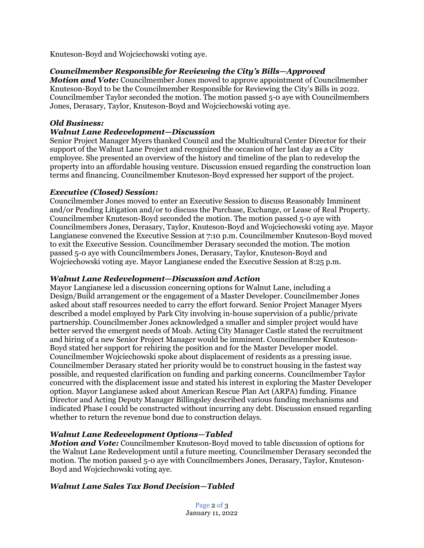Knuteson-Boyd and Wojciechowski voting aye.

## *Councilmember Responsible for Reviewing the City's Bills—Approved*

*Motion and Vote:* Councilmember Jones moved to approve appointment of Councilmember Knuteson-Boyd to be the Councilmember Responsible for Reviewing the City's Bills in 2022. Councilmember Taylor seconded the motion. The motion passed 5-0 aye with Councilmembers Jones, Derasary, Taylor, Knuteson-Boyd and Wojciechowski voting aye.

### *Old Business:*

## *Walnut Lane Redevelopment—Discussion*

Senior Project Manager Myers thanked Council and the Multicultural Center Director for their support of the Walnut Lane Project and recognized the occasion of her last day as a City employee. She presented an overview of the history and timeline of the plan to redevelop the property into an affordable housing venture. Discussion ensued regarding the construction loan terms and financing. Councilmember Knuteson-Boyd expressed her support of the project.

### *Executive (Closed) Session:*

Councilmember Jones moved to enter an Executive Session to discuss Reasonably Imminent and/or Pending Litigation and/or to discuss the Purchase, Exchange, or Lease of Real Property. Councilmember Knuteson-Boyd seconded the motion. The motion passed 5-0 aye with Councilmembers Jones, Derasary, Taylor, Knuteson-Boyd and Wojciechowski voting aye. Mayor Langianese convened the Executive Session at 7:10 p.m. Councilmember Knuteson-Boyd moved to exit the Executive Session. Councilmember Derasary seconded the motion. The motion passed 5-0 aye with Councilmembers Jones, Derasary, Taylor, Knuteson-Boyd and Wojciechowski voting aye. Mayor Langianese ended the Executive Session at 8:25 p.m.

### *Walnut Lane Redevelopment—Discussion and Action*

Mayor Langianese led a discussion concerning options for Walnut Lane, including a Design/Build arrangement or the engagement of a Master Developer. Councilmember Jones asked about staff resources needed to carry the effort forward. Senior Project Manager Myers described a model employed by Park City involving in-house supervision of a public/private partnership. Councilmember Jones acknowledged a smaller and simpler project would have better served the emergent needs of Moab. Acting City Manager Castle stated the recruitment and hiring of a new Senior Project Manager would be imminent. Councilmember Knuteson-Boyd stated her support for rehiring the position and for the Master Developer model. Councilmember Wojciechowski spoke about displacement of residents as a pressing issue. Councilmember Derasary stated her priority would be to construct housing in the fastest way possible, and requested clarification on funding and parking concerns. Councilmember Taylor concurred with the displacement issue and stated his interest in exploring the Master Developer option. Mayor Langianese asked about American Rescue Plan Act (ARPA) funding. Finance Director and Acting Deputy Manager Billingsley described various funding mechanisms and indicated Phase I could be constructed without incurring any debt. Discussion ensued regarding whether to return the revenue bond due to construction delays.

## *Walnut Lane Redevelopment Options—Tabled*

*Motion and Vote:* Councilmember Knuteson-Boyd moved to table discussion of options for the Walnut Lane Redevelopment until a future meeting. Councilmember Derasary seconded the motion. The motion passed 5-0 aye with Councilmembers Jones, Derasary, Taylor, Knuteson-Boyd and Wojciechowski voting aye.

## *Walnut Lane Sales Tax Bond Decision—Tabled*

Page 2 of 3 January 11, 2022